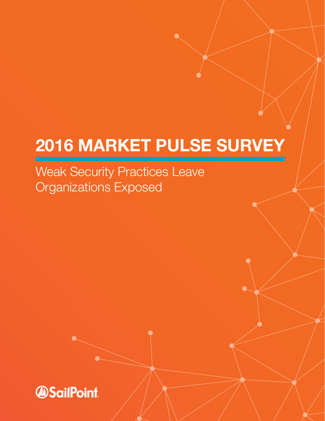# **2016 MARKET PULSE SURVEY**

Weak Security Practices Leave Organizations Exposed

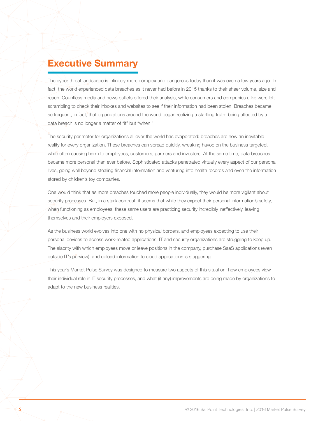### **Executive Summary**

The cyber threat landscape is infinitely more complex and dangerous today than it was even a few years ago. In fact, the world experienced data breaches as it never had before in 2015 thanks to their sheer volume, size and reach. Countless media and news outlets offered their analysis, while consumers and companies alike were left scrambling to check their inboxes and websites to see if their information had been stolen. Breaches became so frequent, in fact, that organizations around the world began realizing a startling truth: being affected by a data breach is no longer a matter of "if" but "when."

The security perimeter for organizations all over the world has evaporated: breaches are now an inevitable reality for every organization. These breaches can spread quickly, wreaking havoc on the business targeted, while often causing harm to employees, customers, partners and investors. At the same time, data breaches became more personal than ever before. Sophisticated attacks penetrated virtually every aspect of our personal lives, going well beyond stealing financial information and venturing into health records and even the information stored by children's toy companies.

One would think that as more breaches touched more people individually, they would be more vigilant about security processes. But, in a stark contrast, it seems that while they expect their personal information's safety, when functioning as employees, these same users are practicing security incredibly ineffectively, leaving themselves and their employers exposed.

As the business world evolves into one with no physical borders, and employees expecting to use their personal devices to access work-related applications, IT and security organizations are struggling to keep up. The alacrity with which employees move or leave positions in the company, purchase SaaS applications (even outside IT's purview), and upload information to cloud applications is staggering.

This year's Market Pulse Survey was designed to measure two aspects of this situation: how employees view their individual role in IT security processes, and what (if any) improvements are being made by organizations to adapt to the new business realities.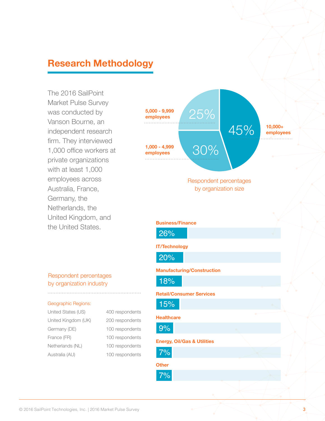### **Research Methodology**

The 2016 SailPoint Market Pulse Survey was conducted by Vanson Bourne, an independent research firm. They interviewed 1,000 office workers at private organizations with at least 1,000 employees across Australia, France, Germany, the Netherlands, the United Kingdom, and the United States.

## **1,000 - 4,999 employees Business/Finance IT/Technology Manufacturing/Construction Retail/Consumer Services Healthcare Energy, Oil/Gas & Utilities Other**  45% 25% 30% Respondent percentages by organization size **10,000+ employees 5,000 - 9,999 employees** 26% 20% 18% 15% 9% 7% 7%

#### Respondent percentages by organization industry

#### Geographic Regions:

United States (US) 400 respondents United Kingdom (UK) Germany (DE) France (FR) Netherlands (NL) Australia (AU)

| 200 respondents |
|-----------------|
| 100 respondents |
| 100 respondents |
| 100 respondents |
| 100 respondents |
|                 |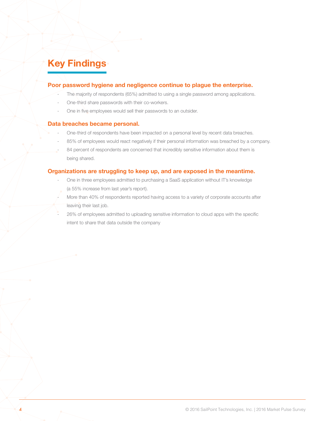### **Key Findings**

#### **Poor password hygiene and negligence continue to plague the enterprise.**

- The majority of respondents (65%) admitted to using a single password among applications.
- One-third share passwords with their co-workers.
- One in five employees would sell their passwords to an outsider.

#### **Data breaches became personal.**

- One-third of respondents have been impacted on a personal level by recent data breaches.
- 85% of employees would react negatively if their personal information was breached by a company.
- 84 percent of respondents are concerned that incredibly sensitive information about them is being shared.

#### **Organizations are struggling to keep up, and are exposed in the meantime.**

- One in three employees admitted to purchasing a SaaS application without IT's knowledge (a 55% increase from last year's report).
- More than 40% of respondents reported having access to a variety of corporate accounts after leaving their last job.
- 26% of employees admitted to uploading sensitive information to cloud apps with the specific intent to share that data outside the company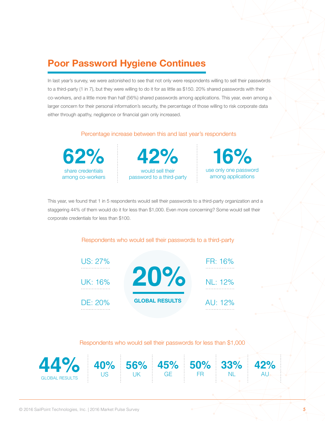### **Poor Password Hygiene Continues**

In last year's survey, we were astonished to see that not only were respondents willing to sell their passwords to a third-party (1 in 7), but they were willing to do it for as little as \$150. 20% shared passwords with their co-workers, and a little more than half (56%) shared passwords among applications. This year, even among a larger concern for their personal information's security, the percentage of those willing to risk corporate data either through apathy, negligence or financial gain only increased.

#### Percentage increase between this and last year's respondents



would sell their password to a third-party **62% 42%**

use only one password among applications **16%**

This year, we found that 1 in 5 respondents would sell their passwords to a third-party organization and a staggering 44% of them would do it for less than \$1,000. Even more concerning? Some would sell their corporate credentials for less than \$100.

#### Respondents who would sell their passwords to a third-party



Respondents who would sell their passwords for less than \$1,000

**45%**  GE

**50%**  FR

**33%**  NL

**42%**   $AD$ 

**56%** UK



**40%** US

**44%**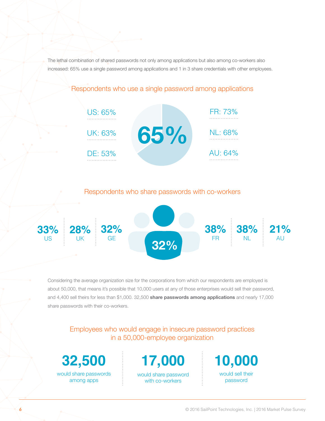The lethal combination of shared passwords not only among applications but also among co-workers also increased: 65% use a single password among applications and 1 in 3 share credentials with other employees.



### Respondents who use a single password among applications

Respondents who share passwords with co-workers



Considering the average organization size for the corporations from which our respondents are employed is about 50,000, that means it's possible that 10,000 users at any of those enterprises would sell their password, and 4,400 sell theirs for less than \$1,000. 32,500 **share passwords among applications** and nearly 17,000 share passwords with their co-workers.

Employees who would engage in insecure password practices in a 50,000-employee organization

would share passwords among apps

would share password with co-workers **32,500 17,000 10,000**

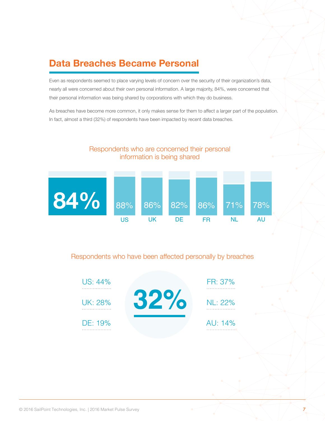### **Data Breaches Became Personal**

Even as respondents seemed to place varying levels of concern over the security of their organization's data, nearly all were concerned about their own personal information. A large majority, 84%, were concerned that their personal information was being shared by corporations with which they do business.

As breaches have become more common, it only makes sense for them to affect a larger part of the population. In fact, almost a third (32%) of respondents have been impacted by recent data breaches.



#### Respondents who have been affected personally by breaches

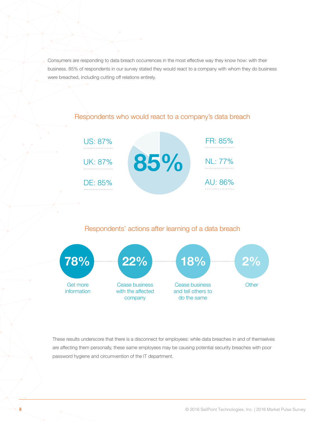Consumers are responding to data breach occurrences in the most effective way they know how: with their business. 85% of respondents in our survey stated they would react to a company with whom they do business were breached, including cutting off relations entirely.



#### Respondents who would react to a company's data breach

#### Respondents' actions after learning of a data breach



These results underscore that there is a disconnect for employees: while data breaches in and of themselves are affecting them personally, these same employees may be causing potential security breaches with poor password hygiene and circumvention of the IT department.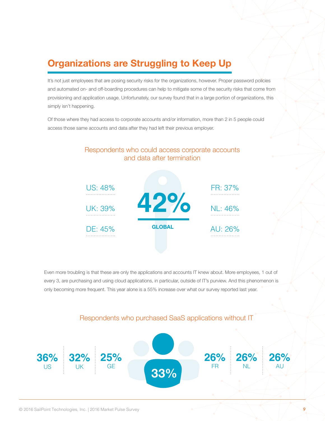### **Organizations are Struggling to Keep Up**

It's not just employees that are posing security risks for the organizations, however. Proper password policies and automated on- and off-boarding procedures can help to mitigate some of the security risks that come from provisioning and application usage. Unfortunately, our survey found that in a large portion of organizations, this simply isn't happening.

Of those where they had access to corporate accounts and/or information, more than 2 in 5 people could access those same accounts and data after they had left their previous employer.



Even more troubling is that these are only the applications and accounts IT knew about. More employees, 1 out of every 3, are purchasing and using cloud applications, in particular, outside of IT's purview. And this phenomenon is only becoming more frequent. This year alone is a 55% increase over what our survey reported last year.

#### Respondents who purchased SaaS applications without IT

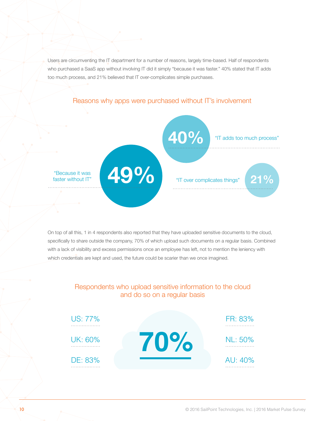Users are circumventing the IT department for a number of reasons, largely time-based. Half of respondents who purchased a SaaS app without involving IT did it simply "because it was faster." 40% stated that IT adds too much process, and 21% believed that IT over-complicates simple purchases.



#### Reasons why apps were purchased without IT's involvement

On top of all this, 1 in 4 respondents also reported that they have uploaded sensitive documents to the cloud, specifically to share outside the company, 70% of which upload such documents on a regular basis. Combined with a lack of visibility and excess permissions once an employee has left, not to mention the leniency with which credentials are kept and used, the future could be scarier than we once imagined.

#### Respondents who upload sensitive information to the cloud and do so on a regular basis

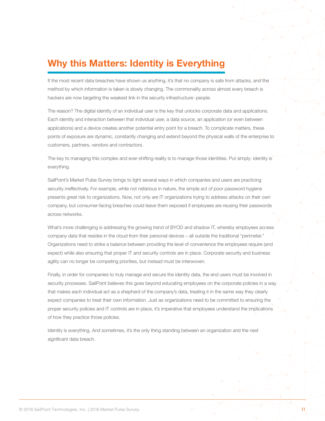### **Why this Matters: Identity is Everything**

If the most recent data breaches have shown us anything, it's that no company is safe from attacks, and the method by which information is taken is slowly changing. The commonality across almost every breach is hackers are now targeting the weakest link in the security infrastructure: people.

The reason? The digital identity of an individual user is the key that unlocks corporate data and applications. Each identity and interaction between that individual user, a data source, an application (or even between applications) and a device creates another potential entry point for a breach. To complicate matters, these points of exposure are dynamic, constantly changing and extend beyond the physical walls of the enterprise to customers, partners, vendors and contractors.

The key to managing this complex and ever-shifting reality is to manage those identities. Put simply: identity is everything.

SailPoint's Market Pulse Survey brings to light several ways in which companies and users are practicing security ineffectively. For example, while not nefarious in nature, the simple act of poor password hygiene presents great risk to organizations. Now, not only are IT organizations trying to address attacks on their own company, but consumer-facing breaches could leave them exposed if employees are reusing their passwords across networks.

What's more challenging is addressing the growing trend of BYOD and shadow IT, whereby employees access company data that resides in the cloud from their personal devices – all outside the traditional "perimeter." Organizations need to strike a balance between providing the level of convenience the employees require (and expect) while also ensuring that proper IT and security controls are in place. Corporate security and business agility can no longer be competing priorities, but instead must be interwoven.

Finally, in order for companies to truly manage and secure the identity data, the end users must be involved in security processes. SailPoint believes this goes beyond educating employees on the corporate policies in a way that makes each individual act as a shepherd of the company's data, treating it in the same way they clearly expect companies to treat their own information. Just as organizations need to be committed to ensuring the proper security policies and IT controls are in place, it's imperative that employees understand the implications of how they practice those policies.

Identity is everything. And sometimes, it's the only thing standing between an organization and the next significant data breach.